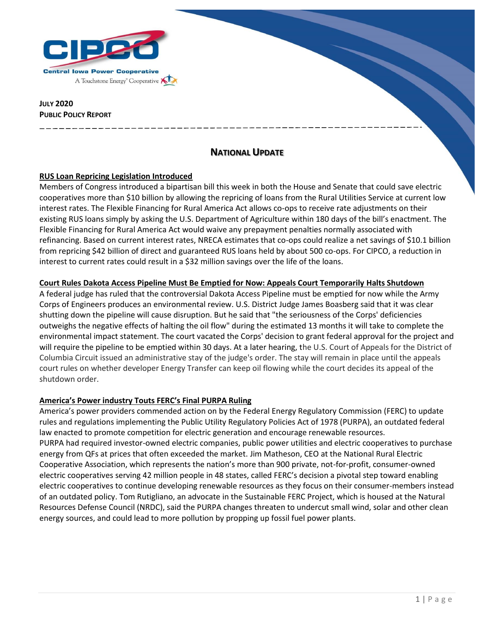

**JULY 2020 PUBLIC POLICY REPORT** 

# **NATIONAL UPDATE**

### **RUS Loan Repricing Legislation Introduced**

Members of Congress introduced a bipartisan bill this week in both the House and Senate that could save electric cooperatives more than \$10 billion by allowing the repricing of loans from the Rural Utilities Service at current low interest rates. The Flexible Financing for Rural America Act allows co-ops to receive rate adjustments on their existing RUS loans simply by asking the U.S. Department of Agriculture within 180 days of the bill's enactment. The Flexible Financing for Rural America Act would waive any prepayment penalties normally associated with refinancing. Based on current interest rates, NRECA estimates that co-ops could realize a net savings of \$10.1 billion from repricing \$42 billion of direct and guaranteed RUS loans held by about 500 co-ops. For CIPCO, a reduction in interest to current rates could result in a \$32 million savings over the life of the loans.

#### **Court Rules Dakota Access Pipeline Must Be Emptied for Now: Appeals Court Temporarily Halts Shutdown**

A federal judge has ruled that the controversial Dakota Access Pipeline must be emptied for now while the Army Corps of Engineers produces an environmental review. U.S. District Judge James Boasberg said that it was clear shutting down the pipeline will cause disruption. But he said that "the seriousness of the Corps' deficiencies outweighs the negative effects of halting the oil flow" during the estimated 13 months it will take to complete the environmental impact statement. The court vacated the Corps' decision to grant federal approval for the project and will require the pipeline to be emptied within 30 days. At a later hearing, the U.S. Court of Appeals for the District of Columbia Circuit issued an administrative stay of the judge's order. The stay will remain in place until the appeals court rules on whether developer Energy Transfer can keep oil flowing while the court decides its appeal of the shutdown order.

### **America's Power industry Touts FERC's Final PURPA Ruling**

America's power providers commended action on by the Federal Energy Regulatory Commission (FERC) to update rules and regulations implementing the Public Utility Regulatory Policies Act of 1978 (PURPA), an outdated federal law enacted to promote competition for electric generation and encourage renewable resources. PURPA had required investor-owned electric companies, public power utilities and electric cooperatives to purchase energy from QFs at prices that often exceeded the market. Jim Matheson, CEO at the National Rural Electric Cooperative Association, which represents the nation's more than 900 private, not-for-profit, consumer-owned electric cooperatives serving 42 million people in 48 states, called FERC's decision a pivotal step toward enabling electric cooperatives to continue developing renewable resources as they focus on their consumer-members instead of an outdated policy. Tom Rutigliano, an advocate in the Sustainable FERC Project, which is housed at the Natural Resources Defense Council (NRDC), said the PURPA changes threaten to undercut small wind, solar and other clean energy sources, and could lead to more pollution by propping up fossil fuel power plants.